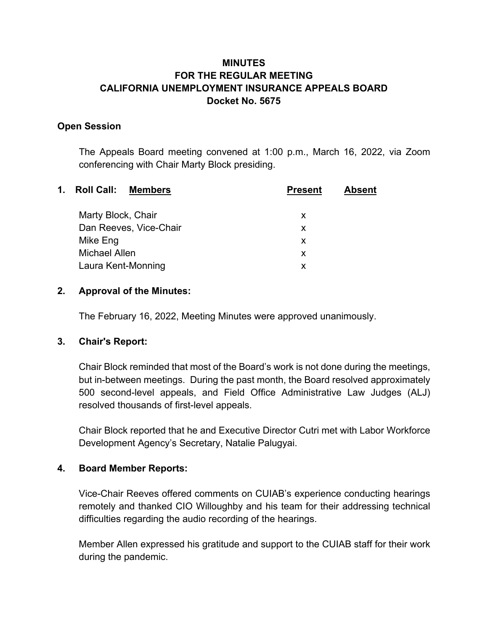# **MINUTES FOR THE REGULAR MEETING CALIFORNIA UNEMPLOYMENT INSURANCE APPEALS BOARD Docket No. 5675**

#### **Open Session**

The Appeals Board meeting convened at 1:00 p.m., March 16, 2022, via Zoom conferencing with Chair Marty Block presiding.

| $\mathbf{1}$ . | <b>Roll Call:</b><br><b>Members</b> | <b>Present</b> | <b>Absent</b> |
|----------------|-------------------------------------|----------------|---------------|
|                | Marty Block, Chair                  | X              |               |
|                | Dan Reeves, Vice-Chair              | X              |               |
|                | Mike Eng                            | X              |               |
|                | Michael Allen                       | X              |               |
|                | Laura Kent-Monning                  | X              |               |
|                |                                     |                |               |

#### **2. Approval of the Minutes:**

The February 16, 2022, Meeting Minutes were approved unanimously.

## **3. Chair's Report:**

Chair Block reminded that most of the Board's work is not done during the meetings, but in-between meetings. During the past month, the Board resolved approximately 500 second-level appeals, and Field Office Administrative Law Judges (ALJ) resolved thousands of first-level appeals.

Chair Block reported that he and Executive Director Cutri met with Labor Workforce Development Agency's Secretary, Natalie Palugyai.

## **4. Board Member Reports:**

Vice-Chair Reeves offered comments on CUIAB's experience conducting hearings remotely and thanked CIO Willoughby and his team for their addressing technical difficulties regarding the audio recording of the hearings.

Member Allen expressed his gratitude and support to the CUIAB staff for their work during the pandemic.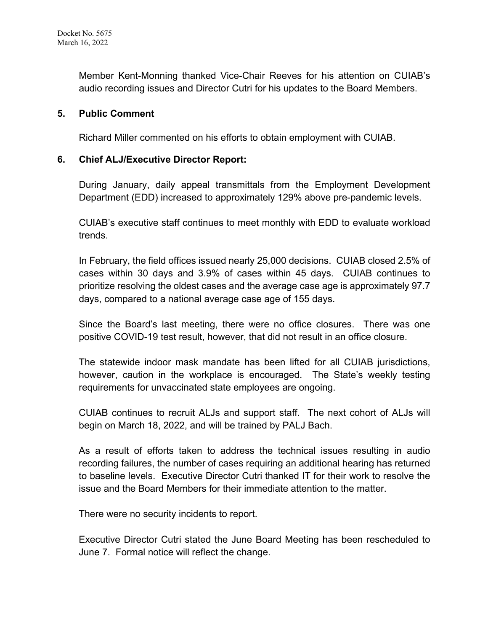Member Kent-Monning thanked Vice-Chair Reeves for his attention on CUIAB's audio recording issues and Director Cutri for his updates to the Board Members.

#### **5. Public Comment**

Richard Miller commented on his efforts to obtain employment with CUIAB.

#### **6. Chief ALJ/Executive Director Report:**

During January, daily appeal transmittals from the Employment Development Department (EDD) increased to approximately 129% above pre-pandemic levels.

CUIAB's executive staff continues to meet monthly with EDD to evaluate workload trends.

In February, the field offices issued nearly 25,000 decisions. CUIAB closed 2.5% of cases within 30 days and 3.9% of cases within 45 days. CUIAB continues to prioritize resolving the oldest cases and the average case age is approximately 97.7 days, compared to a national average case age of 155 days.

Since the Board's last meeting, there were no office closures. There was one positive COVID-19 test result, however, that did not result in an office closure.

The statewide indoor mask mandate has been lifted for all CUIAB jurisdictions, however, caution in the workplace is encouraged. The State's weekly testing requirements for unvaccinated state employees are ongoing.

CUIAB continues to recruit ALJs and support staff. The next cohort of ALJs will begin on March 18, 2022, and will be trained by PALJ Bach.

As a result of efforts taken to address the technical issues resulting in audio recording failures, the number of cases requiring an additional hearing has returned to baseline levels. Executive Director Cutri thanked IT for their work to resolve the issue and the Board Members for their immediate attention to the matter.

There were no security incidents to report.

Executive Director Cutri stated the June Board Meeting has been rescheduled to June 7. Formal notice will reflect the change.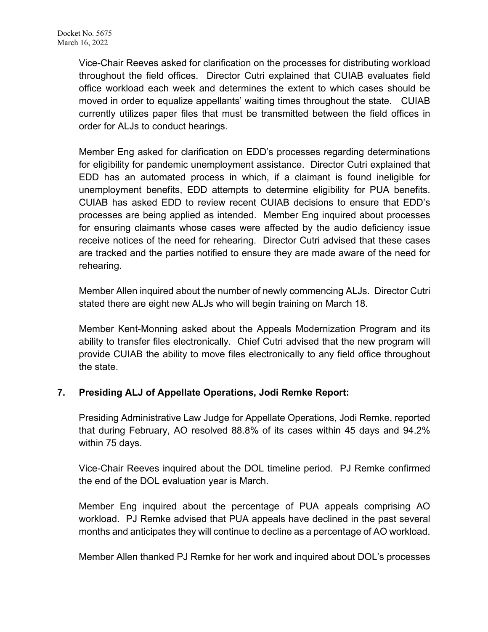Vice-Chair Reeves asked for clarification on the processes for distributing workload throughout the field offices. Director Cutri explained that CUIAB evaluates field office workload each week and determines the extent to which cases should be moved in order to equalize appellants' waiting times throughout the state. CUIAB currently utilizes paper files that must be transmitted between the field offices in order for ALJs to conduct hearings.

Member Eng asked for clarification on EDD's processes regarding determinations for eligibility for pandemic unemployment assistance. Director Cutri explained that EDD has an automated process in which, if a claimant is found ineligible for unemployment benefits, EDD attempts to determine eligibility for PUA benefits. CUIAB has asked EDD to review recent CUIAB decisions to ensure that EDD's processes are being applied as intended. Member Eng inquired about processes for ensuring claimants whose cases were affected by the audio deficiency issue receive notices of the need for rehearing. Director Cutri advised that these cases are tracked and the parties notified to ensure they are made aware of the need for rehearing.

Member Allen inquired about the number of newly commencing ALJs. Director Cutri stated there are eight new ALJs who will begin training on March 18.

Member Kent-Monning asked about the Appeals Modernization Program and its ability to transfer files electronically. Chief Cutri advised that the new program will provide CUIAB the ability to move files electronically to any field office throughout the state.

## **7. Presiding ALJ of Appellate Operations, Jodi Remke Report:**

Presiding Administrative Law Judge for Appellate Operations, Jodi Remke, reported that during February, AO resolved 88.8% of its cases within 45 days and 94.2% within 75 days.

Vice-Chair Reeves inquired about the DOL timeline period. PJ Remke confirmed the end of the DOL evaluation year is March.

Member Eng inquired about the percentage of PUA appeals comprising AO workload. PJ Remke advised that PUA appeals have declined in the past several months and anticipates they will continue to decline as a percentage of AO workload.

Member Allen thanked PJ Remke for her work and inquired about DOL's processes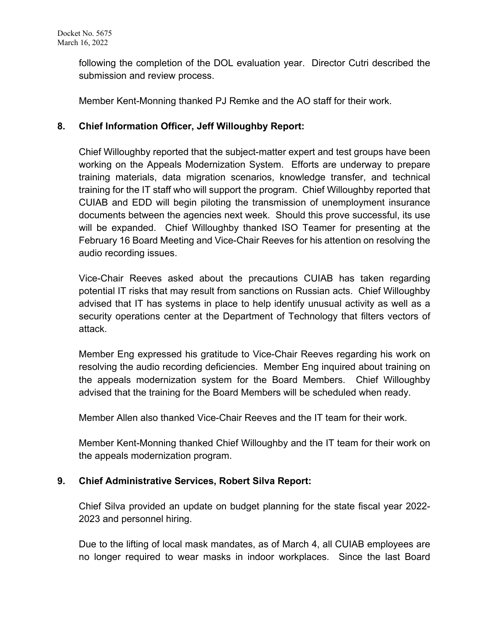following the completion of the DOL evaluation year. Director Cutri described the submission and review process.

Member Kent-Monning thanked PJ Remke and the AO staff for their work.

## **8. Chief Information Officer, Jeff Willoughby Report:**

Chief Willoughby reported that the subject-matter expert and test groups have been working on the Appeals Modernization System. Efforts are underway to prepare training materials, data migration scenarios, knowledge transfer, and technical training for the IT staff who will support the program. Chief Willoughby reported that CUIAB and EDD will begin piloting the transmission of unemployment insurance documents between the agencies next week. Should this prove successful, its use will be expanded. Chief Willoughby thanked ISO Teamer for presenting at the February 16 Board Meeting and Vice-Chair Reeves for his attention on resolving the audio recording issues.

Vice-Chair Reeves asked about the precautions CUIAB has taken regarding potential IT risks that may result from sanctions on Russian acts. Chief Willoughby advised that IT has systems in place to help identify unusual activity as well as a security operations center at the Department of Technology that filters vectors of attack.

Member Eng expressed his gratitude to Vice-Chair Reeves regarding his work on resolving the audio recording deficiencies. Member Eng inquired about training on the appeals modernization system for the Board Members. Chief Willoughby advised that the training for the Board Members will be scheduled when ready.

Member Allen also thanked Vice-Chair Reeves and the IT team for their work.

Member Kent-Monning thanked Chief Willoughby and the IT team for their work on the appeals modernization program.

## **9. Chief Administrative Services, Robert Silva Report:**

Chief Silva provided an update on budget planning for the state fiscal year 2022- 2023 and personnel hiring.

Due to the lifting of local mask mandates, as of March 4, all CUIAB employees are no longer required to wear masks in indoor workplaces. Since the last Board